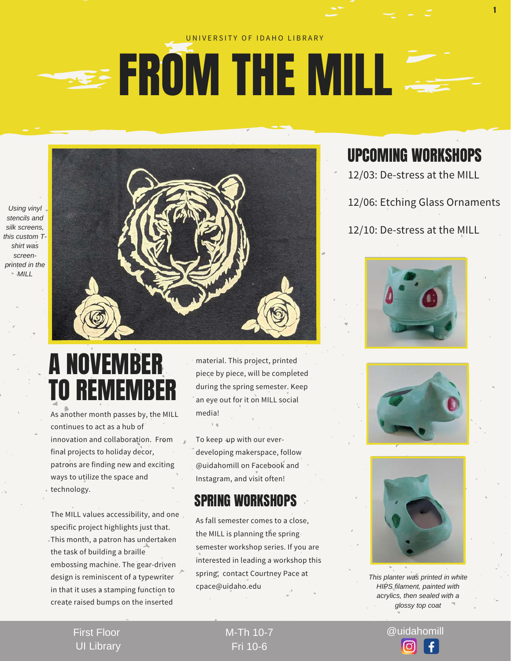#### UNIVERSITY OF IDAHO LIBRARY

## **EXAMPLE THE MILL**

*Using vinyl stencils and silk screens, this custom Tshirt was screenprinted in the MILL* 



### A NOVEMBER TO REMEMBER

As another month passes by, the MILL continues to act as a hub of innovation and collaboration. From final projects to holiday decor, patrons are finding new and exciting ways to utilize the space and technology.

The MILL values accessibility, and one specific project highlights just that. This month, a patron has undertaken the task of building a braille embossing machine. The gear-driven design is reminiscent of a typewriter in that it uses a stamping function to create raised bumps on the inserted

material. This project, printed piece by piece, will be completed during the spring semester. Keep an eye out for it on MILL social media!

To keep up with our everdeveloping makerspace, follow @uidahomill on Facebook and Instagram, and visit often!

#### SPRING WORKSHOPS

As fall semester comes to a close, the MILL is planning the spring semester workshop series. If you are interested in leading a workshop this spring, contact Courtney Pace at cpace@uidaho.edu

#### UPCOMING WORKSHOPS

1

12/03: De-stress at the MILL

12/06: Etching Glass Ornaments

12/10: De-stress at the MILL







*This planter was printed in white HIPS filament, painted with acrylics, then sealed with a glossy top coat*

First Floor UI Library

### Fri 10-6

M-Th 10-7 @uidahomill